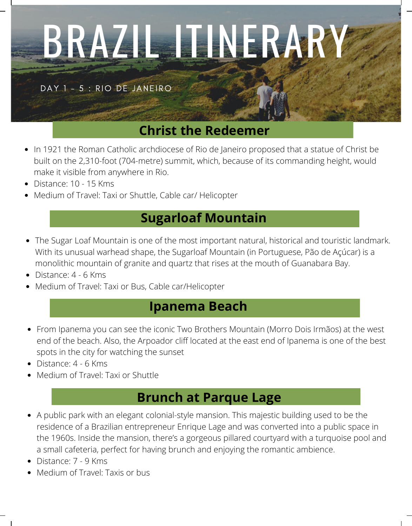# BRAZIL ITINERARY

DAY 1 - 5 : RIO DE JANEIRO

## **Christ the Redeemer**

- In 1921 the Roman Catholic archdiocese of Rio de Janeiro proposed that a statue of Christ be  $\bullet$ built on the 2,310-foot (704-metre) summit, which, because of its commanding height, would make it visible from anywhere in Rio.
- Distance: 10 15 Kms
- Medium of Travel: Taxi or Shuttle, Cable car/ Helicopter  $\bullet$

## **Sugarloaf Mountain**

- The Sugar Loaf Mountain is one of the most important natural, historical and touristic landmark. With its unusual warhead shape, the Sugarloaf Mountain (in Portuguese, Pão de Açúcar) is a monolithic mountain of granite and quartz that rises at the mouth of Guanabara Bay.
- Distance: 4 6 Kms
- Medium of Travel: Taxi or Bus, Cable car/Helicopter

#### **Ipanema Beach**

- From Ipanema you can see the iconic Two Brothers Mountain (Morro Dois Irmãos) at the west end of the beach. Also, the Arpoador cliff located at the east end of Ipanema is one of the best spots in the city for watching the sunset
- Distance: 4 6 Kms
- Medium of Travel: Taxi or Shuttle

## **Brunch at Parque Lage**

- A public park with an elegant colonial-style mansion. This majestic building used to be the residence of a Brazilian entrepreneur Enrique Lage and was converted into a public space in the 1960s. Inside the mansion, there's a gorgeous pillared courtyard with a turquoise pool and a small cafeteria, perfect for having brunch and enjoying the romantic ambience.
- Distance: 7 9 Kms
- Medium of Travel: Taxis or bus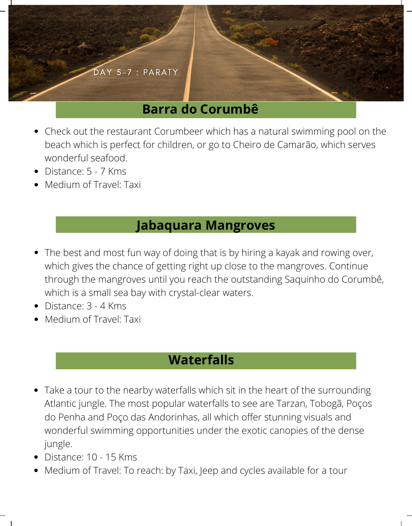

- Check out the [restaurant](https://theculturetrip.com/south-america/brazil/articles/the-top-10-restaurants-in-paraty-brazil/) Corumbeer which has a natural swimming pool on the beach which is perfect for children, or go to Cheiro de Camarão, which serves wonderful seafood.
- Distance: 5 7 Kms
- Medium of Travel: Taxi

#### **Jabaquara Mangroves**

- The best and most fun way of doing that is by hiring a kayak and rowing over, which gives the chance of getting right up close to the mangroves. Continue through the mangroves until you reach the outstanding Saquinho do Corumbê, which is a small sea bay with crystal-clear waters.
- Distance: 3 4 Kms
- Medium of Travel: Taxi

# **Waterfalls**

- Take a tour to the nearby waterfalls which sit in the heart of the surrounding Atlantic jungle. The most popular waterfalls to see are Tarzan, Tobogã, Poços do Penha and Poço das Andorinhas, all which offer stunning visuals and wonderful swimming opportunities under the exotic canopies of the dense jungle.
- Distance: 10 15 Kms
- Medium of Travel: To reach: by Taxi, Jeep and cycles available for a tour